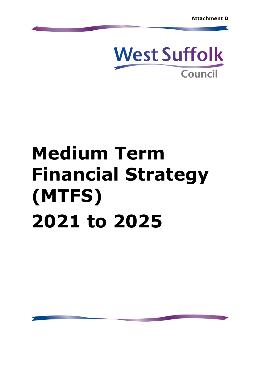

# **Medium Term Financial Strategy (MTFS) 2021 to 2025**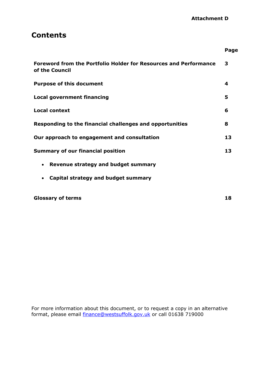**Page**

**18**

# **Contents**

| Foreword from the Portfolio Holder for Resources and Performance<br>of the Council | 3  |
|------------------------------------------------------------------------------------|----|
| <b>Purpose of this document</b>                                                    | 4  |
| <b>Local government financing</b>                                                  | 5  |
| <b>Local context</b>                                                               | 6  |
| Responding to the financial challenges and opportunities                           | 8  |
| Our approach to engagement and consultation                                        | 13 |
| <b>Summary of our financial position</b>                                           | 13 |
| Revenue strategy and budget summary<br>٠                                           |    |
| Capital strategy and budget summary                                                |    |
|                                                                                    |    |

**Glossary of terms**

For more information about this document, or to request a copy in an alternative format, please email [finance@westsuffolk.gov.uk](mailto:finance@westsuffolk.gov.uk) or call 01638 719000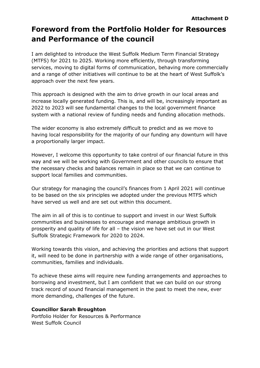# **Foreword from the Portfolio Holder for Resources and Performance of the council**

I am delighted to introduce the West Suffolk Medium Term Financial Strategy (MTFS) for 2021 to 2025. Working more efficiently, through transforming services, moving to digital forms of communication, behaving more commercially and a range of other initiatives will continue to be at the heart of West Suffolk's approach over the next few years.

This approach is designed with the aim to drive growth in our local areas and increase locally generated funding. This is, and will be, increasingly important as 2022 to 2023 will see fundamental changes to the local government finance system with a national review of funding needs and funding allocation methods.

The wider economy is also extremely difficult to predict and as we move to having local responsibility for the majority of our funding any downturn will have a proportionally larger impact.

However, I welcome this opportunity to take control of our financial future in this way and we will be working with Government and other councils to ensure that the necessary checks and balances remain in place so that we can continue to support local families and communities.

Our strategy for managing the council's finances from 1 April 2021 will continue to be based on the six principles we adopted under the previous MTFS which have served us well and are set out within this document.

The aim in all of this is to continue to support and invest in our West Suffolk communities and businesses to encourage and manage ambitious growth in prosperity and quality of life for all – the vision we have set out in our West Suffolk Strategic Framework for 2020 to 2024.

Working towards this vision, and achieving the priorities and actions that support it, will need to be done in partnership with a wide range of other organisations, communities, families and individuals.

To achieve these aims will require new funding arrangements and approaches to borrowing and investment, but I am confident that we can build on our strong track record of sound financial management in the past to meet the new, ever more demanding, challenges of the future.

# **Councillor Sarah Broughton**

Portfolio Holder for Resources & Performance West Suffolk Council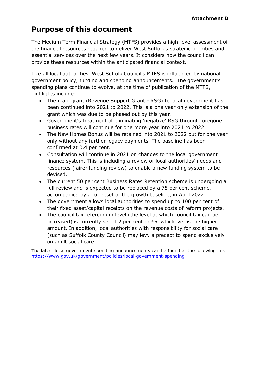# **Purpose of this document**

The Medium Term Financial Strategy (MTFS) provides a high-level assessment of the financial resources required to deliver West Suffolk's strategic priorities and essential services over the next few years. It considers how the council can provide these resources within the anticipated financial context.

Like all local authorities, West Suffolk Council's MTFS is influenced by national government policy, funding and spending announcements. The government's spending plans continue to evolve, at the time of publication of the MTFS, highlights include:

- The main grant (Revenue Support Grant RSG) to local government has been continued into 2021 to 2022. This is a one year only extension of the grant which was due to be phased out by this year.
- Government's treatment of eliminating 'negative' RSG through foregone business rates will continue for one more year into 2021 to 2022.
- The New Homes Bonus will be retained into 2021 to 2022 but for one year only without any further legacy payments. The baseline has been confirmed at 0.4 per cent.
- Consultation will continue in 2021 on changes to the local government finance system. This is including a review of local authorities' needs and resources (fairer funding review) to enable a new funding system to be devised.
- The current 50 per cent Business Rates Retention scheme is undergoing a full review and is expected to be replaced by a 75 per cent scheme, accompanied by a full reset of the growth baseline, in April 2022.
- The government allows local authorities to spend up to 100 per cent of their fixed asset/capital receipts on the revenue costs of reform projects.
- The council tax referendum level (the level at which council tax can be increased) is currently set at 2 per cent or £5, whichever is the higher amount. In addition, local authorities with responsibility for social care (such as Suffolk County Council) may levy a precept to spend exclusively on adult social care.

The latest local government spending announcements can be found at the following link: <https://www.gov.uk/government/policies/local-government-spending>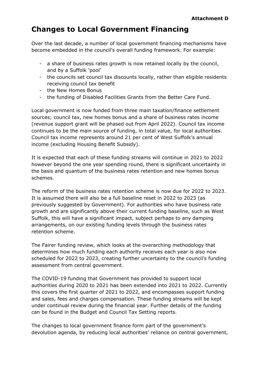# **Changes to Local Government Financing**

Over the last decade, a number of local government financing mechanisms have become embedded in the council's overall funding framework. For example:

- a share of business rates growth is now retained locally by the council, and by a Suffolk 'pool'
- the councils set council tax discounts locally, rather than eligible residents receiving council tax benefit
- the New Homes Bonus
- the funding of Disabled Facilities Grants from the Better Care Fund.

Local government is now funded from three main taxation/finance settlement sources; council tax, new homes bonus and a share of business rates income (revenue support grant will be phased out from April 2022). Council tax income continues to be the main source of funding, in total value, for local authorities. Council tax income represents around 21 per cent of West Suffolk's annual income (excluding Housing Benefit Subsidy).

It is expected that each of these funding streams will continue in 2021 to 2022 however beyond the one year spending round, there is significant uncertainty in the basis and quantum of the business rates retention and new homes bonus schemes.

The reform of the business rates retention scheme is now due for 2022 to 2023. It is assumed there will also be a full baseline reset in 2022 to 2023 (as previously suggested by Government). For authorities who have business rate growth and are significantly above their current funding baseline, such as West Suffolk, this will have a significant impact, subject perhaps to any damping arrangements, on our existing funding levels through the business rates retention scheme.

The Fairer funding review, which looks at the overarching methodology that determines how much funding each authority receives each year is also now scheduled for 2022 to 2023, creating further uncertainty to the council's funding assessment from central government.

The COVID-19 funding that Government has provided to support local authorities during 2020 to 2021 has been extended into 2021 to 2022. Currently this covers the first quarter of 2021 to 2022, and encompasses support funding and sales, fees and charges compensation. These funding streams will be kept under continual review during the financial year. Further details of the funding can be found in the Budget and Council Tax Setting reports.

The changes to local government finance form part of the government's devolution agenda, by reducing local authorities' reliance on central government,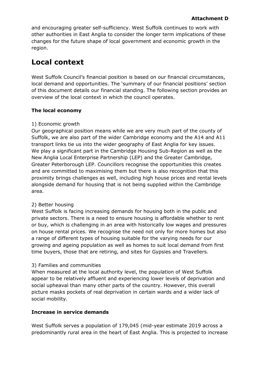and encouraging greater self-sufficiency. West Suffolk continues to work with other authorities in East Anglia to consider the longer term implications of these changes for the future shape of local government and economic growth in the region.

# **Local context**

West Suffolk Council's financial position is based on our financial circumstances, local demand and opportunities. The 'summary of our financial positions' section of this document details our financial standing. The following section provides an overview of the local context in which the council operates.

# **The local economy**

# 1) Economic growth

Our geographical position means while we are very much part of the county of Suffolk, we are also part of the wider Cambridge economy and the A14 and A11 transport links tie us into the wider geography of East Anglia for key issues. We play a significant part in the Cambridge Housing Sub-Region as well as the New Anglia Local Enterprise Partnership (LEP) and the Greater Cambridge, Greater Peterborough LEP. Councillors recognise the opportunities this creates and are committed to maximising them but there is also recognition that this proximity brings challenges as well, including high house prices and rental levels alongside demand for housing that is not being supplied within the Cambridge area.

# 2) Better housing

West Suffolk is facing increasing demands for housing both in the public and private sectors. There is a need to ensure housing is affordable whether to rent or buy, which is challenging in an area with historically low wages and pressures on house rental prices. We recognise the need not only for more homes but also a range of different types of housing suitable for the varying needs for our growing and ageing population as well as homes to suit local demand from first time buyers, those that are retiring, and sites for Gypsies and Travellers.

# 3) Families and communities

When measured at the local authority level, the population of West Suffolk appear to be relatively affluent and experiencing lower levels of deprivation and social upheaval than many other parts of the country. However, this overall picture masks pockets of real deprivation in certain wards and a wider lack of social mobility.

# **Increase in service demands**

West Suffolk serves a population of 179,045 (mid-year estimate 2019 across a predominantly rural area in the heart of East Anglia. This is projected to increase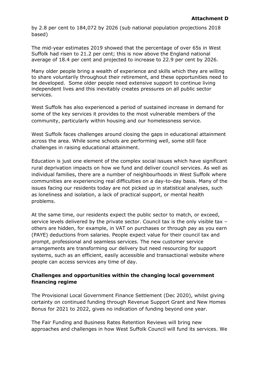by 2.8 per cent to 184,072 by 2026 (sub national population projections 2018 based)

The mid-year estimates 2019 showed that the percentage of over 65s in West Suffolk had risen to 21.2 per cent; this is now above the England national average of 18.4 per cent and projected to increase to 22.9 per cent by 2026.

Many older people bring a wealth of experience and skills which they are willing to share voluntarily throughout their retirement, and these opportunities need to be developed. Some older people need extensive support to continue living independent lives and this inevitably creates pressures on all public sector services.

West Suffolk has also experienced a period of sustained increase in demand for some of the key services it provides to the most vulnerable members of the community, particularly within housing and our homelessness service.

West Suffolk faces challenges around closing the gaps in educational attainment across the area. While some schools are performing well, some still face challenges in raising educational attainment.

Education is just one element of the complex social issues which have significant rural deprivation impacts on how we fund and deliver council services. As well as individual families, there are a number of neighbourhoods in West Suffolk where communities are experiencing real difficulties on a day-to-day basis. Many of the issues facing our residents today are not picked up in statistical analyses, such as loneliness and isolation, a lack of practical support, or mental health problems.

At the same time, our residents expect the public sector to match, or exceed, service levels delivered by the private sector. Council tax is the only visible tax – others are hidden, for example, in VAT on purchases or through pay as you earn (PAYE) deductions from salaries. People expect value for their council tax and prompt, professional and seamless services. The new customer service arrangements are transforming our delivery but need resourcing for support systems, such as an efficient, easily accessible and transactional website where people can access services any time of day.

# **Challenges and opportunities within the changing local government financing regime**

The Provisional Local Government Finance Settlement (Dec 2020), whilst giving certainty on continued funding through Revenue Support Grant and New Homes Bonus for 2021 to 2022, gives no indication of funding beyond one year.

The Fair Funding and Business Rates Retention Reviews will bring new approaches and challenges in how West Suffolk Council will fund its services. We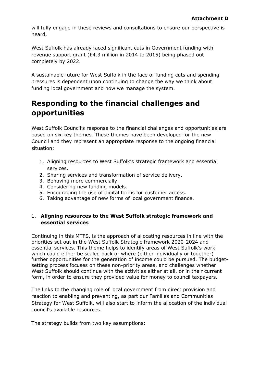will fully engage in these reviews and consultations to ensure our perspective is heard.

West Suffolk has already faced significant cuts in Government funding with revenue support grant (£4.3 million in 2014 to 2015) being phased out completely by 2022.

A sustainable future for West Suffolk in the face of funding cuts and spending pressures is dependent upon continuing to change the way we think about funding local government and how we manage the system.

# **Responding to the financial challenges and opportunities**

West Suffolk Council's response to the financial challenges and opportunities are based on six key themes. These themes have been developed for the new Council and they represent an appropriate response to the ongoing financial situation:

- 1. Aligning resources to West Suffolk's strategic framework and essential services.
- 2. Sharing services and transformation of service delivery.
- 3. Behaving more commercially.
- 4. Considering new funding models.
- 5. Encouraging the use of digital forms for customer access.
- 6. Taking advantage of new forms of local government finance.

# 1. **Aligning resources to the West Suffolk strategic framework and essential services**

Continuing in this MTFS, is the approach of allocating resources in line with the priorities set out in the West Suffolk Strategic framework 2020-2024 and essential services. This theme helps to identify areas of West Suffolk's work which could either be scaled back or where (either individually or together) further opportunities for the generation of income could be pursued. The budgetsetting process focuses on these non-priority areas, and challenges whether West Suffolk should continue with the activities either at all, or in their current form, in order to ensure they provided value for money to council taxpayers.

The links to the changing role of local government from direct provision and reaction to enabling and preventing, as part our Families and Communities Strategy for West Suffolk, will also start to inform the allocation of the individual council's available resources.

The strategy builds from two key assumptions: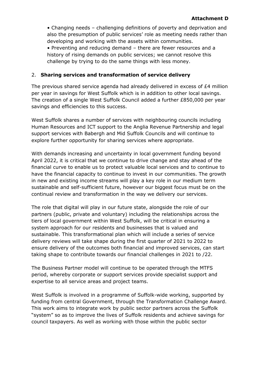• Changing needs – challenging definitions of poverty and deprivation and also the presumption of public services' role as meeting needs rather than developing and working with the assets within communities.

• Preventing and reducing demand – there are fewer resources and a history of rising demands on public services; we cannot resolve this challenge by trying to do the same things with less money.

# 2. **Sharing services and transformation of service delivery**

The previous shared service agenda had already delivered in excess of £4 million per year in savings for West Suffolk which is in addition to other local savings. The creation of a single West Suffolk Council added a further £850,000 per year savings and efficiencies to this success.

West Suffolk shares a number of services with neighbouring councils including Human Resources and ICT support to the Anglia Revenue Partnership and legal support services with Babergh and Mid Suffolk Councils and will continue to explore further opportunity for sharing services where appropriate.

With demands increasing and uncertainty in local government funding beyond April 2022, it is critical that we continue to drive change and stay ahead of the financial curve to enable us to protect valuable local services and to continue to have the financial capacity to continue to invest in our communities. The growth in new and existing income streams will play a key role in our medium term sustainable and self-sufficient future, however our biggest focus must be on the continual review and transformation in the way we delivery our services.

The role that digital will play in our future state, alongside the role of our partners (public, private and voluntary) including the relationships across the tiers of local government within West Suffolk, will be critical in ensuring a system approach for our residents and businesses that is valued and sustainable. This transformational plan which will include a series of service delivery reviews will take shape during the first quarter of 2021 to 2022 to ensure delivery of the outcomes both financial and improved services, can start taking shape to contribute towards our financial challenges in 2021 to /22.

The Business Partner model will continue to be operated through the MTFS period, whereby corporate or support services provide specialist support and expertise to all service areas and project teams.

West Suffolk is involved in a programme of Suffolk-wide working, supported by funding from central Government, through the Transformation Challenge Award. This work aims to integrate work by public sector partners across the Suffolk "system" so as to improve the lives of Suffolk residents and achieve savings for council taxpayers. As well as working with those within the public sector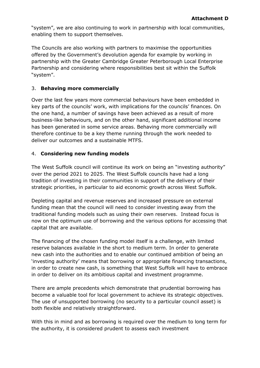"system", we are also continuing to work in partnership with local communities, enabling them to support themselves.

The Councils are also working with partners to maximise the opportunities offered by the Government's devolution agenda for example by working in partnership with the Greater Cambridge Greater Peterborough Local Enterprise Partnership and considering where responsibilities best sit within the Suffolk "system".

# 3. **Behaving more commercially**

Over the last few years more commercial behaviours have been embedded in key parts of the councils' work, with implications for the councils' finances. On the one hand, a number of savings have been achieved as a result of more business-like behaviours, and on the other hand, significant additional income has been generated in some service areas. Behaving more commercially will therefore continue to be a key theme running through the work needed to deliver our outcomes and a sustainable MTFS.

# 4. **Considering new funding models**

The West Suffolk council will continue its work on being an "investing authority" over the period 2021 to 2025. The West Suffolk councils have had a long tradition of investing in their communities in support of the delivery of their strategic priorities, in particular to aid economic growth across West Suffolk.

Depleting capital and revenue reserves and increased pressure on external funding mean that the council will need to consider investing away from the traditional funding models such as using their own reserves. Instead focus is now on the optimum use of borrowing and the various options for accessing that capital that are available.

The financing of the chosen funding model itself is a challenge, with limited reserve balances available in the short to medium term. In order to generate new cash into the authorities and to enable our continued ambition of being an 'investing authority' means that borrowing or appropriate financing transactions, in order to create new cash, is something that West Suffolk will have to embrace in order to deliver on its ambitious capital and investment programme.

There are ample precedents which demonstrate that prudential borrowing has become a valuable tool for local government to achieve its strategic objectives. The use of unsupported borrowing (no security to a particular council asset) is both flexible and relatively straightforward.

With this in mind and as borrowing is required over the medium to long term for the authority, it is considered prudent to assess each investment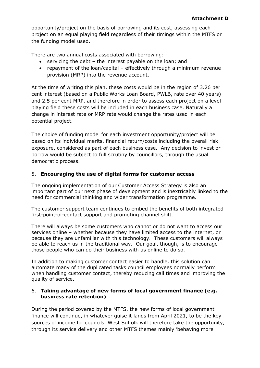opportunity/project on the basis of borrowing and its cost, assessing each project on an equal playing field regardless of their timings within the MTFS or the funding model used.

There are two annual costs associated with borrowing:

- $\bullet$  servicing the debt the interest payable on the loan; and
- repayment of the loan/capital effectively through a minimum revenue provision (MRP) into the revenue account.

At the time of writing this plan, these costs would be in the region of 3.26 per cent interest (based on a Public Works Loan Board, PWLB, rate over 40 years) and 2.5 per cent MRP, and therefore in order to assess each project on a level playing field these costs will be included in each business case. Naturally a change in interest rate or MRP rate would change the rates used in each potential project.

The choice of funding model for each investment opportunity/project will be based on its individual merits, financial return/costs including the overall risk exposure, considered as part of each business case. Any decision to invest or borrow would be subject to full scrutiny by councillors, through the usual democratic process.

# 5. **Encouraging the use of digital forms for customer access**

The ongoing implementation of our Customer Access Strategy is also an important part of our next phase of development and is inextricably linked to the need for commercial thinking and wider transformation programme.

The customer support team continues to embed the benefits of both integrated first-point-of-contact support and promoting channel shift.

There will always be some customers who cannot or do not want to access our services online – whether because they have limited access to the internet, or because they are unfamiliar with this technology. These customers will always be able to reach us in the traditional way. Our goal, though, is to encourage those people who can do their business with us online to do so.

In addition to making customer contact easier to handle, this solution can automate many of the duplicated tasks council employees normally perform when handling customer contact, thereby reducing call times and improving the quality of service.

#### 6. **Taking advantage of new forms of local government finance (e.g. business rate retention)**

During the period covered by the MTFS, the new forms of local government finance will continue, in whatever guise it lands from April 2021, to be the key sources of income for councils. West Suffolk will therefore take the opportunity, through its service delivery and other MTFS themes mainly 'behaving more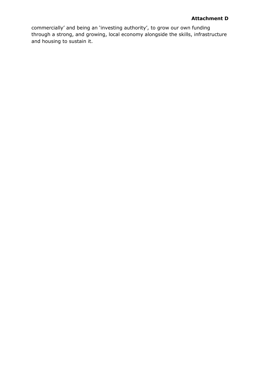# **Attachment D**

commercially' and being an 'investing authority', to grow our own funding through a strong, and growing, local economy alongside the skills, infrastructure and housing to sustain it.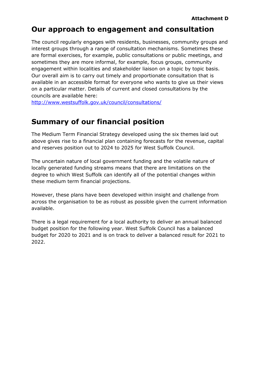# **Our approach to engagement and consultation**

The council regularly engages with residents, businesses, community groups and interest groups through a range of consultation mechanisms. Sometimes these are formal exercises, for example, public consultations or public meetings, and sometimes they are more informal, for example, focus groups, community engagement within localities and stakeholder liaison on a topic by topic basis. Our overall aim is to carry out timely and proportionate consultation that is available in an accessible format for everyone who wants to give us their views on a particular matter. Details of current and closed consultations by the councils are available here:

<http://www.westsuffolk.gov.uk/council/consultations/>

# **Summary of our financial position**

The Medium Term Financial Strategy developed using the six themes laid out above gives rise to a financial plan containing forecasts for the revenue, capital and reserves position out to 2024 to 2025 for West Suffolk Council.

The uncertain nature of local government funding and the volatile nature of locally generated funding streams means that there are limitations on the degree to which West Suffolk can identify all of the potential changes within these medium term financial projections.

However, these plans have been developed within insight and challenge from across the organisation to be as robust as possible given the current information available.

There is a legal requirement for a local authority to deliver an annual balanced budget position for the following year. West Suffolk Council has a balanced budget for 2020 to 2021 and is on track to deliver a balanced result for 2021 to 2022.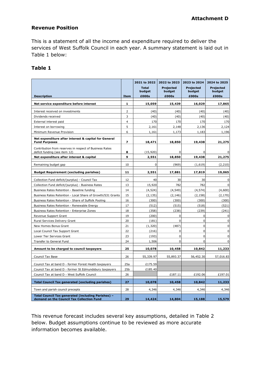#### **Revenue Position**

This is a statement of all the income and expenditure required to deliver the services of West Suffolk Council in each year. A summary statement is laid out in Table 1 below:

# **Table 1**

|                                                                                                 |                         | 2021 to 2022<br><b>Total</b> | 2022 to 2023<br><b>Projected</b> | 2023 to 2024<br><b>Projected</b> | 2024 to 2025<br><b>Projected</b> |
|-------------------------------------------------------------------------------------------------|-------------------------|------------------------------|----------------------------------|----------------------------------|----------------------------------|
|                                                                                                 |                         | budget                       | budget                           | budget                           | budget                           |
| <b>Description</b>                                                                              | <b>Item</b>             | £000s                        | £000s                            | £000s                            | £000s                            |
| Net service expenditure before interest                                                         | 1                       | 15,059                       | 15,439                           | 16,029                           | 17,865                           |
| Interest received on investments                                                                | $\overline{2}$          | (40)                         | (40)                             | (40)                             | (40)                             |
| Dividends received                                                                              | 3                       | (40)                         | (40)                             | (40)                             | (40)                             |
| External interest paid                                                                          | 4                       | 170                          | 170                              | 170                              | 170                              |
| Interest on borrowing                                                                           | 5                       | 2,161                        | 2,148                            | 2,136                            | 2,124                            |
| Minimum Revenue Provision                                                                       | 6                       | 1,161                        | 1,173                            | 1,183                            | 1,196                            |
| Net expenditure after interest & capital for General<br><b>Fund Purposes</b>                    | $\overline{\mathbf{z}}$ | 18,471                       | 18,850                           | 19,438                           | 21,275                           |
| Contribution from reserves in respect of Business Rates<br>deficit funding (see item 12)        | 8                       | (15, 920)                    | 0                                | 0                                | $\Omega$                         |
| Net expenditure after interest & capital                                                        | 9                       | 2,551                        | 18,850                           | 19,438                           | 21,275                           |
| Remaining budget gap                                                                            | 10                      | $\Omega$                     | (969)                            | (1,619)                          | (2, 210)                         |
| <b>Budget Requirement (excluding parishes)</b>                                                  | 11                      | 2,551                        | 17,881                           | 17,819                           | 19,065                           |
| Collection Fund deficit/(surplus) - Council Tax                                                 | 12                      | 40                           | 30                               | 30                               | $\mathbf 0$                      |
| Collection Fund deficit/(surplus) - Business Rates                                              | 13                      | 15,920                       | 782                              | 782                              | $\Omega$                         |
| Business Rates Retention - Baseline funding                                                     | 14                      | (4, 524)                     | (4, 549)                         | (4, 574)                         | (4,600)                          |
| Business Rates Retention - Local Share of Growth/S31 Grants                                     | 15                      | (2, 135)                     | (2, 146)                         | (2, 158)                         | (2, 170)                         |
| Business Rates Retention - Share of Suffolk Pooling                                             | 16                      | (300)                        | (300)                            | (300)                            | (300)                            |
| Business Rates Retention - Renewable Energy                                                     | 17                      | (512)                        | (515)                            | (518)                            | (521)                            |
| Business Rates Retention - Enterprise Zones                                                     | 18                      | (358)                        | (238)                            | (239)                            | (241)                            |
| Revenue Support Grant                                                                           | 19                      | (200)                        | $\mathbf 0$                      | $\mathbf 0$                      | $\mathbf 0$                      |
| Rural Services Delivery Grant                                                                   | 20                      | (181)                        | $\mathbf 0$                      | $\mathbf 0$                      | $\bf 0$                          |
| New Homes Bonus Grant                                                                           | 21                      | (1, 320)                     | (487)                            | $\mathbf 0$                      | $\mathbf 0$                      |
| Local Council Tax Support Grant                                                                 | 22                      | (216)                        | 0                                | 0                                | $\pmb{0}$                        |
| Lower Tier Services Grant                                                                       | 23                      | (193)                        | $\mathbf 0$                      | $\mathbf 0$                      | $\mathbf 0$                      |
| Transfer to General Fund                                                                        | 24                      | 1,506                        | 0                                | $\mathbf 0$                      | $\mathbf 0$                      |
| Amount to be charged to council taxpayers                                                       | 25                      | 10,078                       | 10,458                           | 10,842                           | 11,233                           |
| Council Tax Base                                                                                | 26                      | 55,339.97                    | 55,893.37                        | 56,452.30                        | 57,016.83                        |
| Council Tax at band D - former Forest Heath taxpayers                                           | 25a                     | £175.59                      |                                  |                                  |                                  |
| Council Tax at band D - former St Edmundsbury taxpayers                                         | 25 <sub>b</sub>         | £185.40                      |                                  |                                  |                                  |
| Council Tax at band D - West Suffolk Council                                                    | 26                      |                              | £187.11                          | £192.06                          | £197.01                          |
| <b>Total Council Tax generated (excluding parishes)</b>                                         | 27                      | 10,078                       | 10,458                           | 10,842                           | 11,233                           |
| Town and parish council precepts                                                                | 28                      | 4,346                        | 4,346                            | 4,346                            | 4,346                            |
| Total Council Tax generated (including Parishes) -<br>demand on the Council Tax Collection Fund | 29                      | 14,424                       | 14,804                           | 15,188                           | 15,579                           |

This revenue forecast includes several key assumptions, detailed in Table 2 below. Budget assumptions continue to be reviewed as more accurate information becomes available.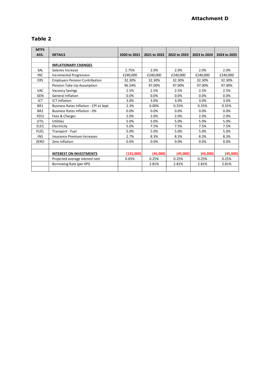# **Table 2**

| <b>MTFS</b>     |                                        |              |              |              |              |              |
|-----------------|----------------------------------------|--------------|--------------|--------------|--------------|--------------|
| ASS.            | <b>DETAILS</b>                         | 2020 to 2021 | 2021 to 2022 | 2022 to 2023 | 2023 to 2024 | 2024 to 2025 |
|                 |                                        |              |              |              |              |              |
|                 | <b>INFLATIONARY CHANGES</b>            |              |              |              |              |              |
| <b>SAL</b>      | Salaries Increase                      | 2.75%        | 2.0%         | 2.0%         | 2.0%         | 2.0%         |
| <b>INC</b>      | <b>Incremental Progression</b>         | £240.000     | £240.000     | £240.000     | £240.000     | £240.000     |
| <b>ERS</b>      | <b>Employers Pension Contribution</b>  | 32.30%       | 32.30%       | 32.30%       | 32.30%       | 32.30%       |
|                 | Pension Take-Up Assumption             | 96.54%       | 97.00%       | 97.00%       | 97.00%       | 97.00%       |
| <b>VAC</b>      | <b>Vacancy Savings</b>                 | 2.5%         | 2.5%         | 2.5%         | 2.5%         | 2.5%         |
| GEN             | <b>General Inflation</b>               | 0.0%         | 0.0%         | 0.0%         | 0.0%         | 0.0%         |
| ICT             | <b>ICT Inflation</b>                   | 3.0%         | 3.0%         | 3.0%         | 3.0%         | 3.0%         |
| BR1             | Business Rates Inflation - CPI at Sept | 2.3%         | 0.00%        | 0.55%        | 0.55%        | 0.55%        |
| BR <sub>2</sub> | Business Rates Inflation - 0%          | 0.0%         | 0.0%         | 0.0%         | 0.0%         | 0.0%         |
| <b>FEES</b>     | Fees & Charges                         | 2.0%         | 2.0%         | 2.0%         | 2.0%         | 2.0%         |
| UTIL            | Utilities                              | 5.0%         | 5.0%         | 5.0%         | 5.0%         | 5.0%         |
| <b>ELEC</b>     | Electricity                            | 5.0%         | 7.5%         | 7.5%         | 7.5%         | 7.5%         |
| <b>FUEL</b>     | Transport - Fuel                       | 5.0%         | 5.0%         | 5.0%         | 5.0%         | 5.0%         |
| <b>INS</b>      | <b>Insurance Premium Increases</b>     | 2.7%         | 8.3%         | 8.3%         | 8.3%         | 8.3%         |
| ZERO            | Zero Inflation                         | 0.0%         | 0.0%         | 0.0%         | 0.0%         | 0.0%         |
|                 |                                        |              |              |              |              |              |
|                 | <b>INTEREST ON INVESTMENTS</b>         | (131,000)    | (45,000)     | (45,000)     | (45,000)     | (45,000)     |
|                 | Projected average interest rate        | 0.65%        | 0.25%        | 0.25%        | 0.25%        | 0.25%        |
|                 | Borrowing Rate (per KPI)               |              | 2.81%        | 2.81%        | 2.81%        | 2.81%        |
|                 |                                        |              |              |              |              |              |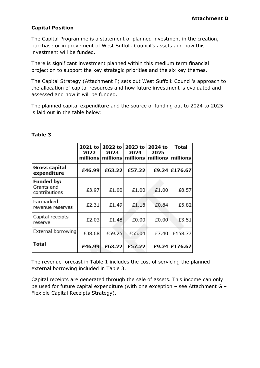# **Capital Position**

The Capital Programme is a statement of planned investment in the creation, purchase or improvement of West Suffolk Council's assets and how this investment will be funded.

There is significant investment planned within this medium term financial projection to support the key strategic priorities and the six key themes.

The Capital Strategy (Attachment F) sets out West Suffolk Council's approach to the allocation of capital resources and how future investment is evaluated and assessed and how it will be funded.

The planned capital expenditure and the source of funding out to 2024 to 2025 is laid out in the table below:

|                                                  | 2021 to<br>2022<br>millions | 2022 to<br>2023 | 2023 to<br>2024<br>$millions $ millions | 2024 to<br>2025<br>millions | <b>Total</b><br>millions |
|--------------------------------------------------|-----------------------------|-----------------|-----------------------------------------|-----------------------------|--------------------------|
| <b>Gross capital</b><br>expenditure              | £46.99                      | £63.22          | £57.22                                  |                             | £9.24 £176.67            |
| <b>Funded by:</b><br>Grants and<br>contributions | £3.97                       | £1.00           | £1.00                                   | £1.00                       | £8.57                    |
| Earmarked<br>revenue reserves                    | £2.31                       | £1.49           | £1.18                                   | £0.84                       | £5.82                    |
| Capital receipts<br>reserve                      | £2.03                       | £1.48           | £0.00                                   | £0.00                       | £3.51                    |
| External borrowing                               | £38.68                      | £59.25          | £55.04                                  | £7.40                       | £158.77                  |
| Total                                            | £46.99                      | £63.22          | £57.22                                  |                             | £9.24 £176.67            |

# **Table 3**

The revenue forecast in Table 1 includes the cost of servicing the planned external borrowing included in Table 3.

Capital receipts are generated through the sale of assets. This income can only be used for future capital expenditure (with one exception – see Attachment G – Flexible Capital Receipts Strategy).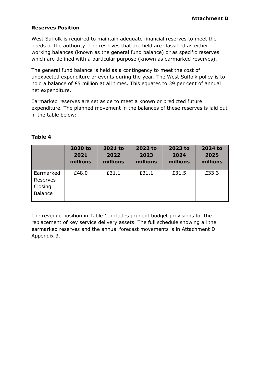#### **Reserves Position**

West Suffolk is required to maintain adequate financial reserves to meet the needs of the authority. The reserves that are held are classified as either working balances (known as the general fund balance) or as specific reserves which are defined with a particular purpose (known as earmarked reserves).

The general fund balance is held as a contingency to meet the cost of unexpected expenditure or events during the year. The West Suffolk policy is to hold a balance of £5 million at all times. This equates to 39 per cent of annual net expenditure.

Earmarked reserves are set aside to meet a known or predicted future expenditure. The planned movement in the balances of these reserves is laid out in the table below:

|                                                    | 2020 to  | 2021 to  | 2022 to  | 2023 to  | 2024 to  |
|----------------------------------------------------|----------|----------|----------|----------|----------|
|                                                    | 2021     | 2022     | 2023     | 2024     | 2025     |
|                                                    | millions | millions | millions | millions | millions |
| Earmarked<br>Reserves<br>Closing<br><b>Balance</b> | £48.0    | £31.1    | £31.1    | £31.5    | £33.3    |

# **Table 4**

The revenue position in Table 1 includes prudent budget provisions for the replacement of key service delivery assets. The full schedule showing all the earmarked reserves and the annual forecast movements is in Attachment D Appendix 3.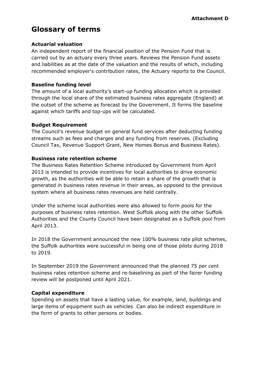# **Glossary of terms**

# **Actuarial valuation**

An independent report of the financial position of the Pension Fund that is carried out by an actuary every three years. Reviews the Pension Fund assets and liabilities as at the date of the valuation and the results of which, including recommended employer's contribution rates, the Actuary reports to the Council.

# **Baseline funding level**

The amount of a local authority's start-up funding allocation which is provided through the local share of the estimated business rates aggregate (England) at the outset of the scheme as forecast by the Government. It forms the baseline against which tariffs and top-ups will be calculated.

# **Budget Requirement**

The Council's revenue budget on general fund services after deducting funding streams such as fees and charges and any funding from reserves. (Excluding Council Tax, Revenue Support Grant, New Homes Bonus and Business Rates).

# **Business rate retention scheme**

The Business Rates Retention Scheme introduced by Government from April 2013 is intended to provide incentives for local authorities to drive economic growth, as the authorities will be able to retain a share of the growth that is generated in business rates revenue in their areas, as opposed to the previous system where all business rates revenues are held centrally.

Under the scheme local authorities were also allowed to form pools for the purposes of business rates retention. West Suffolk along with the other Suffolk Authorities and the County Council have been designated as a Suffolk pool from April 2013.

In 2018 the Government announced the new 100% business rate pilot schemes, the Suffolk authorities were successful in being one of those pilots during 2018 to 2019.

In September 2019 the Government announced that the planned 75 per cent business rates retention scheme and re-baselining as part of the fairer funding review will be postponed until April 2021.

# **Capital expenditure**

Spending on assets that have a lasting value, for example, land, buildings and large items of equipment such as vehicles. Can also be indirect expenditure in the form of grants to other persons or bodies.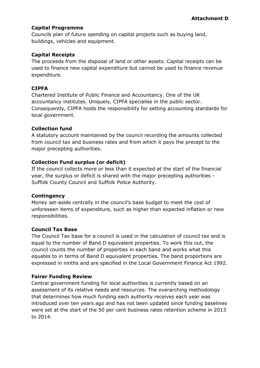# **Capital Programme**

Councils plan of future spending on capital projects such as buying land, buildings, vehicles and equipment.

# **Capital Receipts**

The proceeds from the disposal of land or other assets. Capital receipts can be used to finance new capital expenditure but cannot be used to finance revenue expenditure.

# **CIPFA**

Chartered Institute of Public Finance and Accountancy. One of the UK accountancy institutes. Uniquely, CIPFA specialise in the public sector. Consequently, CIPFA holds the responsibility for setting accounting standards for local government.

# **Collection fund**

A statutory account maintained by the council recording the amounts collected from council tax and business rates and from which it pays the precept to the major precepting authorities.

# **Collection Fund surplus (or deficit)**

If the council collects more or less than it expected at the start of the financial year, the surplus or deficit is shared with the major precepting authorities - Suffolk County Council and Suffolk Police Authority.

#### **Contingency**

Money set-aside centrally in the council's base budget to meet the cost of unforeseen items of expenditure, such as higher than expected inflation or new responsibilities.

#### **Council Tax Base**

The Council Tax base for a council is used in the calculation of council tax and is equal to the number of Band D equivalent properties. To work this out, the council counts the number of properties in each band and works what this equates to in terms of Band D equivalent properties. The band proportions are expressed in ninths and are specified in the Local Government Finance Act 1992.

# **Fairer Funding Review**

Central government funding for local authorities is currently based on an assessment of its relative needs and resources. The overarching methodology that determines how much funding each authority receives each year was introduced over ten years ago and has not been updated since funding baselines were set at the start of the 50 per cent business rates retention scheme in 2013 to 2014.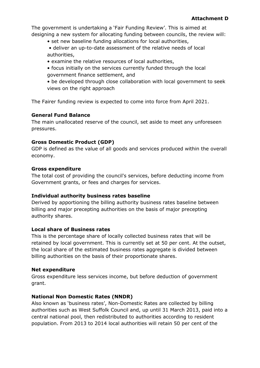The government is undertaking a 'Fair Funding Review'. This is aimed at designing a new system for allocating funding between councils, the review will:

- set new baseline funding allocations for local authorities,
- deliver an up-to-date assessment of the relative needs of local authorities,
- examine the relative resources of local authorities,
- focus initially on the services currently funded through the local government finance settlement, and

• be developed through close collaboration with local government to seek views on the right approach

The Fairer funding review is expected to come into force from April 2021.

# **General Fund Balance**

The main unallocated reserve of the council, set aside to meet any unforeseen pressures.

# **Gross Domestic Product (GDP)**

GDP is defined as the value of all goods and services produced within the overall economy.

#### **Gross expenditure**

The total cost of providing the council's services, before deducting income from Government grants, or fees and charges for services.

#### **Individual authority business rates baseline**

Derived by apportioning the billing authority business rates baseline between billing and major precepting authorities on the basis of major precepting authority shares.

#### **Local share of Business rates**

This is the percentage share of locally collected business rates that will be retained by local government. This is currently set at 50 per cent. At the outset, the local share of the estimated business rates aggregate is divided between billing authorities on the basis of their proportionate shares.

#### **Net expenditure**

Gross expenditure less services income, but before deduction of government grant.

#### **National Non Domestic Rates (NNDR)**

Also known as 'business rates', Non-Domestic Rates are collected by billing authorities such as West Suffolk Council and, up until 31 March 2013, paid into a central national pool, then redistributed to authorities according to resident population. From 2013 to 2014 local authorities will retain 50 per cent of the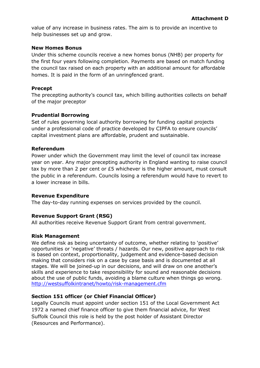value of any increase in business rates. The aim is to provide an incentive to help businesses set up and grow.

#### **New Homes Bonus**

Under this scheme councils receive a new homes bonus (NHB) per property for the first four years following completion. Payments are based on match funding the council tax raised on each property with an additional amount for affordable homes. It is paid in the form of an unringfenced grant.

#### **Precept**

The precepting authority's council tax, which billing authorities collects on behalf of the major preceptor

#### **Prudential Borrowing**

Set of rules governing local authority borrowing for funding capital projects under a professional code of practice developed by CIPFA to ensure councils' capital investment plans are affordable, prudent and sustainable.

#### **Referendum**

Power under which the Government may limit the level of council tax increase year on year. Any major precepting authority in England wanting to raise council tax by more than 2 per cent or £5 whichever is the higher amount, must consult the public in a referendum. Councils losing a referendum would have to revert to a lower increase in bills.

#### **Revenue Expenditure**

The day-to-day running expenses on services provided by the council.

#### **Revenue Support Grant (RSG)**

All authorities receive Revenue Support Grant from central government.

#### **Risk Management**

We define risk as being uncertainty of outcome, whether relating to 'positive' opportunities or 'negative' threats / hazards. Our new, positive approach to risk is based on context, proportionality, judgement and evidence-based decision making that considers risk on a case by case basis and is documented at all stages. We will be joined-up in our decisions, and will draw on one another's skills and experience to take responsibility for sound and reasonable decisions about the use of public funds, avoiding a blame culture when things go wrong. <http://westsuffolkintranet/howto/risk-management.cfm>

#### **Section 151 officer (or Chief Financial Officer)**

Legally Councils must appoint under section 151 of the Local Government Act 1972 a named chief finance officer to give them financial advice, for West Suffolk Council this role is held by the post holder of Assistant Director (Resources and Performance).